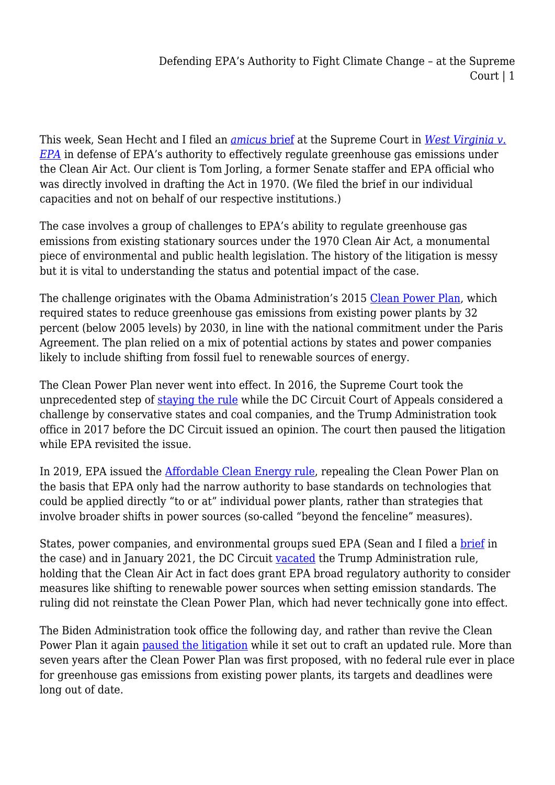This week, Sean Hecht and I filed an *[amicus](https://www.supremecourt.gov/DocketPDF/20/20-1530/211186/20220124153055925_20-1530%20Jorling%20Amicus%20FINAL.pdf)* [brief](https://www.supremecourt.gov/DocketPDF/20/20-1530/211186/20220124153055925_20-1530%20Jorling%20Amicus%20FINAL.pdf) at the Supreme Court in *[West Virginia v.](https://www.supremecourt.gov/docket/docketfiles/html/public/20-1530.html) [EPA](https://www.supremecourt.gov/docket/docketfiles/html/public/20-1530.html)* in defense of EPA's authority to effectively regulate greenhouse gas emissions under the Clean Air Act. Our client is Tom Jorling, a former Senate staffer and EPA official who was directly involved in drafting the Act in 1970. (We filed the brief in our individual capacities and not on behalf of our respective institutions.)

The case involves a group of challenges to EPA's ability to regulate greenhouse gas emissions from existing stationary sources under the 1970 Clean Air Act, a monumental piece of environmental and public health legislation. The history of the litigation is messy but it is vital to understanding the status and potential impact of the case.

The challenge originates with the Obama Administration's 2015 [Clean Power Plan](https://www.federalregister.gov/documents/2015/10/23/2015-22842/carbon-pollution-emission-guidelines-for-existing-stationary-sources-electric-utility-generating), which required states to reduce greenhouse gas emissions from existing power plants by 32 percent (below 2005 levels) by 2030, in line with the national commitment under the Paris Agreement. The plan relied on a mix of potential actions by states and power companies likely to include shifting from fossil fuel to renewable sources of energy.

The Clean Power Plan never went into effect. In 2016, the Supreme Court took the unprecedented step of [staying the rule](https://www.edf.org/sites/default/files/content/2016.02.09_scotus_stay_order_west_virginia.pdf) while the DC Circuit Court of Appeals considered a challenge by conservative states and coal companies, and the Trump Administration took office in 2017 before the DC Circuit issued an opinion. The court then paused the litigation while EPA revisited the issue.

In 2019, EPA issued the [Affordable Clean Energy rule,](https://www.federalregister.gov/documents/2019/07/08/2019-13507/repeal-of-the-clean-power-plan-emission-guidelines-for-greenhouse-gas-emissions-from-existing) repealing the Clean Power Plan on the basis that EPA only had the narrow authority to base standards on technologies that could be applied directly "to or at" individual power plants, rather than strategies that involve broader shifts in power sources (so-called "beyond the fenceline" measures).

States, power companies, and environmental groups sued EPA (Sean and I filed a [brief](https://legal-planet.org/2020/04/21/fighting-to-preserve-the-clean-power-plan/) in the case) and in January 2021, the DC Circuit [vacated](https://www.edf.org/sites/default/files/content/2021.01.19%20ACE%20Opinion.pdf) the Trump Administration rule, holding that the Clean Air Act in fact does grant EPA broad regulatory authority to consider measures like shifting to renewable power sources when setting emission standards. The ruling did not reinstate the Clean Power Plan, which had never technically gone into effect.

The Biden Administration took office the following day, and rather than revive the Clean Power Plan it again [paused the litigation](https://www.edf.org/sites/default/files/content/2021.02.12%20EPA%20Motion%20for%20Partial%20Stay%20of%20Issuance%20of%20Mandate_0.pdf) while it set out to craft an updated rule. More than seven years after the Clean Power Plan was first proposed, with no federal rule ever in place for greenhouse gas emissions from existing power plants, its targets and deadlines were long out of date.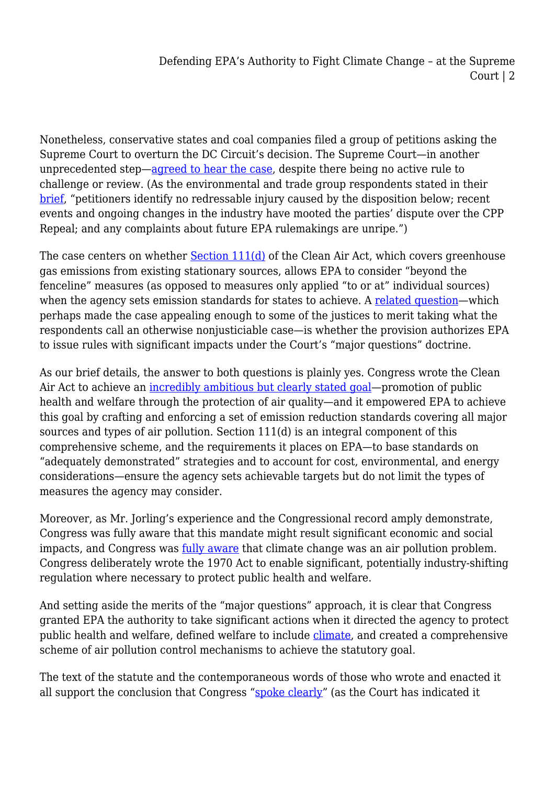Nonetheless, conservative states and coal companies filed a group of petitions asking the Supreme Court to overturn the DC Circuit's decision. The Supreme Court—in another unprecedented step—[agreed to hear the case](https://www.edf.org/sites/default/files/documents/2021.10.29%20Supreme%20Court%20Cert%20Order.pdf), despite there being no active rule to challenge or review. (As the environmental and trade group respondents stated in their [brief](https://www.supremecourt.gov/DocketPDF/20/20-1530/210543/20220118133930812_20-1530%20Brief%20for%20Respondents.pdf), "petitioners identify no redressable injury caused by the disposition below; recent events and ongoing changes in the industry have mooted the parties' dispute over the CPP Repeal; and any complaints about future EPA rulemakings are unripe.")

The case centers on whether [Section 111\(d\)](https://www.law.cornell.edu/uscode/text/42/7411) of the Clean Air Act, which covers greenhouse gas emissions from existing stationary sources, allows EPA to consider "beyond the fenceline" measures (as opposed to measures only applied "to or at" individual sources) when the agency sets emission standards for states to achieve. A [related question—](https://legal-planet.org/2022/01/13/todays-vaccine-cases-implications-for-climate-change-regulation/)which perhaps made the case appealing enough to some of the justices to merit taking what the respondents call an otherwise nonjusticiable case—is whether the provision authorizes EPA to issue rules with significant impacts under the Court's "major questions" doctrine.

As our brief details, the answer to both questions is plainly yes. Congress wrote the Clean Air Act to achieve an [incredibly ambitious but clearly stated goal—](https://www.law.cornell.edu/uscode/text/42/7401)promotion of public health and welfare through the protection of air quality—and it empowered EPA to achieve this goal by crafting and enforcing a set of emission reduction standards covering all major sources and types of air pollution. Section 111(d) is an integral component of this comprehensive scheme, and the requirements it places on EPA—to base standards on "adequately demonstrated" strategies and to account for cost, environmental, and energy considerations—ensure the agency sets achievable targets but do not limit the types of measures the agency may consider.

Moreover, as Mr. Jorling's experience and the Congressional record amply demonstrate, Congress was fully aware that this mandate might result significant economic and social impacts, and Congress was [fully aware](https://policyintegrity.org/files/publications/Bostock_and_the_End_of_the_Climate_Double_Standard.pdf) that climate change was an air pollution problem. Congress deliberately wrote the 1970 Act to enable significant, potentially industry-shifting regulation where necessary to protect public health and welfare.

And setting aside the merits of the "major questions" approach, it is clear that Congress granted EPA the authority to take significant actions when it directed the agency to protect public health and welfare, defined welfare to include [climate](https://www.law.cornell.edu/uscode/text/42/7602), and created a comprehensive scheme of air pollution control mechanisms to achieve the statutory goal.

The text of the statute and the contemporaneous words of those who wrote and enacted it all support the conclusion that Congress "[spoke clearly](https://www.supremecourt.gov/opinions/13pdf/12-1146_4g18.pdf)" (as the Court has indicated it